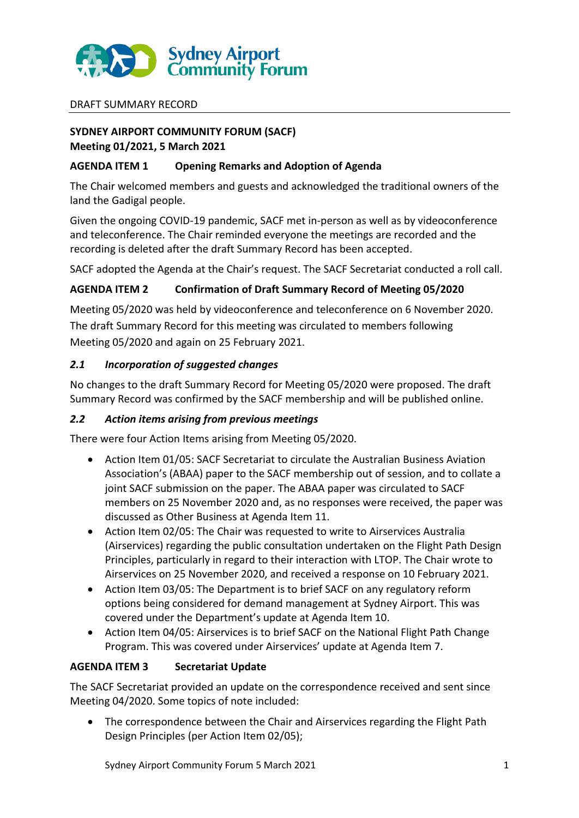

## DRAFT SUMMARY RECORD

# **SYDNEY AIRPORT COMMUNITY FORUM (SACF) Meeting 01/2021, 5 March 2021**

## **AGENDA ITEM 1 Opening Remarks and Adoption of Agenda**

The Chair welcomed members and guests and acknowledged the traditional owners of the land the Gadigal people.

Given the ongoing COVID-19 pandemic, SACF met in-person as well as by videoconference and teleconference. The Chair reminded everyone the meetings are recorded and the recording is deleted after the draft Summary Record has been accepted.

SACF adopted the Agenda at the Chair's request. The SACF Secretariat conducted a roll call.

## **AGENDA ITEM 2 Confirmation of Draft Summary Record of Meeting 05/2020**

Meeting 05/2020 was held by videoconference and teleconference on 6 November 2020. The draft Summary Record for this meeting was circulated to members following Meeting 05/2020 and again on 25 February 2021.

## *2.1 Incorporation of suggested changes*

No changes to the draft Summary Record for Meeting 05/2020 were proposed. The draft Summary Record was confirmed by the SACF membership and will be published online.

## *2.2 Action items arising from previous meetings*

There were four Action Items arising from Meeting 05/2020.

- Action Item 01/05: SACF Secretariat to circulate the Australian Business Aviation Association's (ABAA) paper to the SACF membership out of session, and to collate a joint SACF submission on the paper. The ABAA paper was circulated to SACF members on 25 November 2020 and, as no responses were received, the paper was discussed as Other Business at Agenda Item 11.
- Action Item 02/05: The Chair was requested to write to Airservices Australia (Airservices) regarding the public consultation undertaken on the Flight Path Design Principles, particularly in regard to their interaction with LTOP. The Chair wrote to Airservices on 25 November 2020, and received a response on 10 February 2021.
- Action Item 03/05: The Department is to brief SACF on any regulatory reform options being considered for demand management at Sydney Airport. This was covered under the Department's update at Agenda Item 10.
- Action Item 04/05: Airservices is to brief SACF on the National Flight Path Change Program. This was covered under Airservices' update at Agenda Item 7.

## **AGENDA ITEM 3 Secretariat Update**

The SACF Secretariat provided an update on the correspondence received and sent since Meeting 04/2020. Some topics of note included:

 The correspondence between the Chair and Airservices regarding the Flight Path Design Principles (per Action Item 02/05);

Sydney Airport Community Forum 5 March 2021 1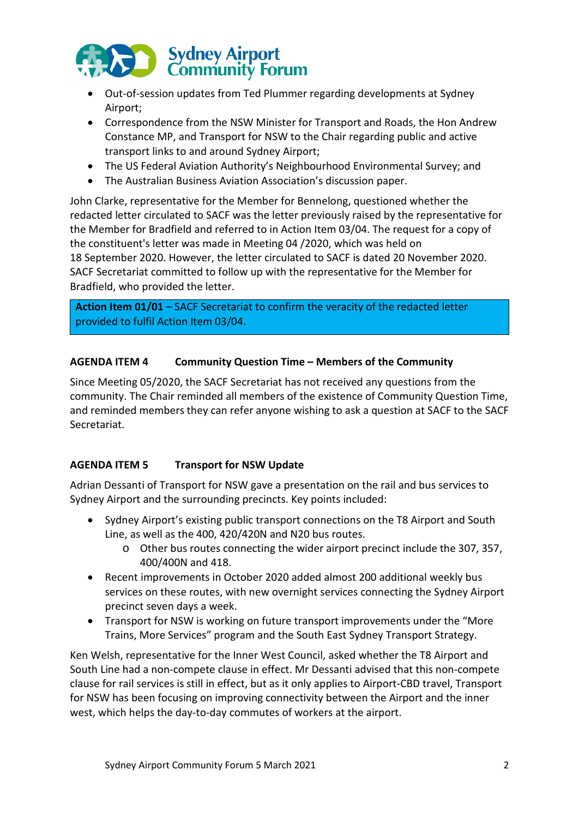

- Out-of-session updates from Ted Plummer regarding developments at Sydney Airport;
- Correspondence from the NSW Minister for Transport and Roads, the Hon Andrew Constance MP, and Transport for NSW to the Chair regarding public and active transport links to and around Sydney Airport;
- The US Federal Aviation Authority's Neighbourhood Environmental Survey; and
- The Australian Business Aviation Association's discussion paper.

John Clarke, representative for the Member for Bennelong, questioned whether the redacted letter circulated to SACF was the letter previously raised by the representative for the Member for Bradfield and referred to in Action Item 03/04. The request for a copy of the constituent's letter was made in Meeting 04 /2020, which was held on 18 September 2020. However, the letter circulated to SACF is dated 20 November 2020. SACF Secretariat committed to follow up with the representative for the Member for Bradfield, who provided the letter.

Action Item 01/01 - SACF Secretariat to confirm the veracity of the redacted letter provided to fulfil Action Item 03/04.

## **AGENDA ITEM 4 Community Question Time – Members of the Community**

Since Meeting 05/2020, the SACF Secretariat has not received any questions from the community. The Chair reminded all members of the existence of Community Question Time, and reminded members they can refer anyone wishing to ask a question at SACF to the SACF Secretariat.

# **AGENDA ITEM 5 Transport for NSW Update**

Adrian Dessanti of Transport for NSW gave a presentation on the rail and bus services to Sydney Airport and the surrounding precincts. Key points included:

- Sydney Airport's existing public transport connections on the T8 Airport and South Line, as well as the 400, 420/420N and N20 bus routes.
	- o Other bus routes connecting the wider airport precinct include the 307, 357, 400/400N and 418.
- Recent improvements in October 2020 added almost 200 additional weekly bus services on these routes, with new overnight services connecting the Sydney Airport precinct seven days a week.
- Transport for NSW is working on future transport improvements under the "More Trains, More Services" program and the South East Sydney Transport Strategy.

Ken Welsh, representative for the Inner West Council, asked whether the T8 Airport and South Line had a non-compete clause in effect. Mr Dessanti advised that this non-compete clause for rail services is still in effect, but as it only applies to Airport-CBD travel, Transport for NSW has been focusing on improving connectivity between the Airport and the inner west, which helps the day-to-day commutes of workers at the airport.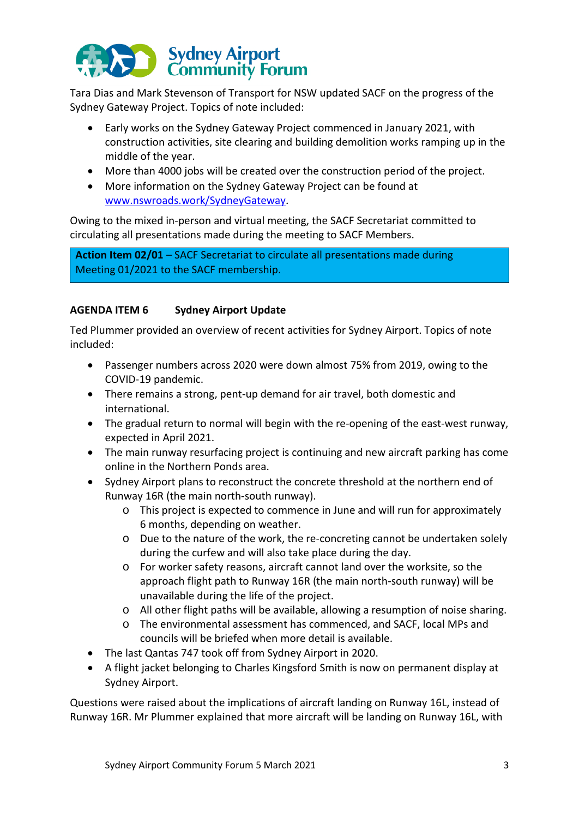

Tara Dias and Mark Stevenson of Transport for NSW updated SACF on the progress of the Sydney Gateway Project. Topics of note included:

- Early works on the Sydney Gateway Project commenced in January 2021, with construction activities, site clearing and building demolition works ramping up in the middle of the year.
- More than 4000 jobs will be created over the construction period of the project.
- More information on the Sydney Gateway Project can be found at [www.nswroads.work/SydneyGateway.](http://www.nswroads.work/SydneyGateway)

Owing to the mixed in-person and virtual meeting, the SACF Secretariat committed to circulating all presentations made during the meeting to SACF Members.

**Action Item 02/01** – SACF Secretariat to circulate all presentations made during Meeting 01/2021 to the SACF membership.

# **AGENDA ITEM 6 Sydney Airport Update**

Ted Plummer provided an overview of recent activities for Sydney Airport. Topics of note included:

- Passenger numbers across 2020 were down almost 75% from 2019, owing to the COVID-19 pandemic.
- There remains a strong, pent-up demand for air travel, both domestic and international.
- The gradual return to normal will begin with the re-opening of the east-west runway, expected in April 2021.
- The main runway resurfacing project is continuing and new aircraft parking has come online in the Northern Ponds area.
- Sydney Airport plans to reconstruct the concrete threshold at the northern end of Runway 16R (the main north-south runway).
	- o This project is expected to commence in June and will run for approximately 6 months, depending on weather.
	- o Due to the nature of the work, the re-concreting cannot be undertaken solely during the curfew and will also take place during the day.
	- o For worker safety reasons, aircraft cannot land over the worksite, so the approach flight path to Runway 16R (the main north-south runway) will be unavailable during the life of the project.
	- o All other flight paths will be available, allowing a resumption of noise sharing.
	- o The environmental assessment has commenced, and SACF, local MPs and councils will be briefed when more detail is available.
- The last Qantas 747 took off from Sydney Airport in 2020.
- A flight jacket belonging to Charles Kingsford Smith is now on permanent display at Sydney Airport.

Questions were raised about the implications of aircraft landing on Runway 16L, instead of Runway 16R. Mr Plummer explained that more aircraft will be landing on Runway 16L, with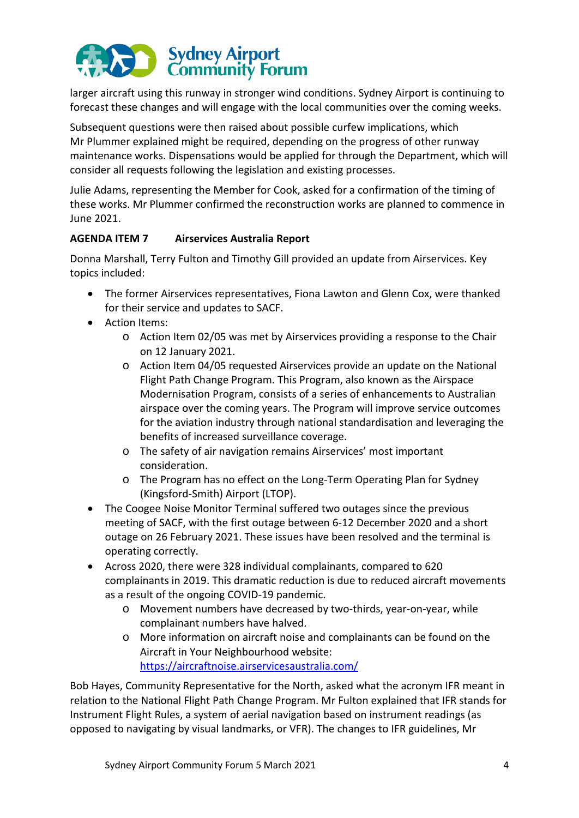

larger aircraft using this runway in stronger wind conditions. Sydney Airport is continuing to forecast these changes and will engage with the local communities over the coming weeks.

Subsequent questions were then raised about possible curfew implications, which Mr Plummer explained might be required, depending on the progress of other runway maintenance works. Dispensations would be applied for through the Department, which will consider all requests following the legislation and existing processes.

Julie Adams, representing the Member for Cook, asked for a confirmation of the timing of these works. Mr Plummer confirmed the reconstruction works are planned to commence in June 2021.

# **AGENDA ITEM 7 Airservices Australia Report**

Donna Marshall, Terry Fulton and Timothy Gill provided an update from Airservices. Key topics included:

- The former Airservices representatives, Fiona Lawton and Glenn Cox, were thanked for their service and updates to SACF.
- Action Items:
	- o Action Item 02/05 was met by Airservices providing a response to the Chair on 12 January 2021.
	- o Action Item 04/05 requested Airservices provide an update on the National Flight Path Change Program. This Program, also known as the Airspace Modernisation Program, consists of a series of enhancements to Australian airspace over the coming years. The Program will improve service outcomes for the aviation industry through national standardisation and leveraging the benefits of increased surveillance coverage.
	- o The safety of air navigation remains Airservices' most important consideration.
	- o The Program has no effect on the Long-Term Operating Plan for Sydney (Kingsford-Smith) Airport (LTOP).
- The Coogee Noise Monitor Terminal suffered two outages since the previous meeting of SACF, with the first outage between 6-12 December 2020 and a short outage on 26 February 2021. These issues have been resolved and the terminal is operating correctly.
- Across 2020, there were 328 individual complainants, compared to 620 complainants in 2019. This dramatic reduction is due to reduced aircraft movements as a result of the ongoing COVID-19 pandemic.
	- o Movement numbers have decreased by two-thirds, year-on-year, while complainant numbers have halved.
	- o More information on aircraft noise and complainants can be found on the Aircraft in Your Neighbourhood website: <https://aircraftnoise.airservicesaustralia.com/>

Bob Hayes, Community Representative for the North, asked what the acronym IFR meant in relation to the National Flight Path Change Program. Mr Fulton explained that IFR stands for Instrument Flight Rules, a system of aerial navigation based on instrument readings (as opposed to navigating by visual landmarks, or VFR). The changes to IFR guidelines, Mr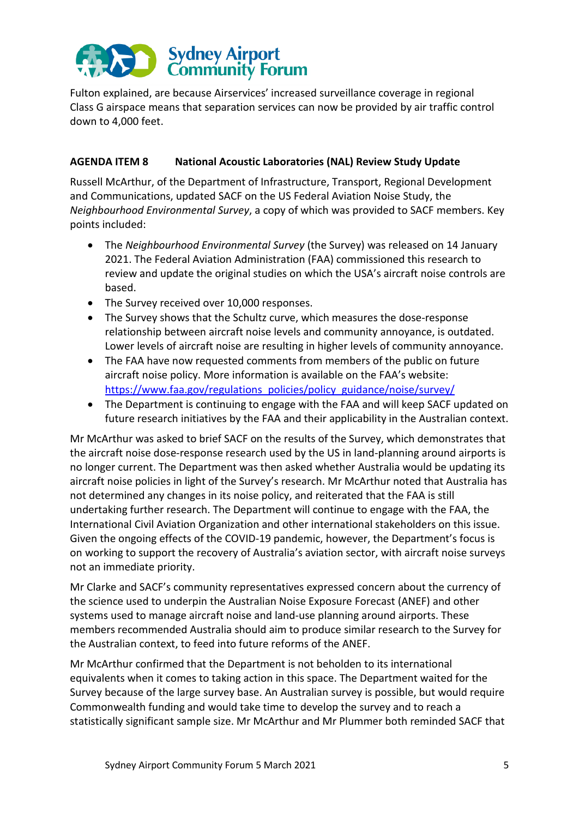# Sydney Airport<br>Community Forum

Fulton explained, are because Airservices' increased surveillance coverage in regional Class G airspace means that separation services can now be provided by air traffic control down to 4,000 feet.

# **AGENDA ITEM 8 National Acoustic Laboratories (NAL) Review Study Update**

Russell McArthur, of the Department of Infrastructure, Transport, Regional Development and Communications, updated SACF on the US Federal Aviation Noise Study, the *Neighbourhood Environmental Survey*, a copy of which was provided to SACF members. Key points included:

- The *Neighbourhood Environmental Survey* (the Survey) was released on 14 January 2021. The Federal Aviation Administration (FAA) commissioned this research to review and update the original studies on which the USA's aircraft noise controls are based.
- The Survey received over 10,000 responses.
- The Survey shows that the Schultz curve, which measures the dose-response relationship between aircraft noise levels and community annoyance, is outdated. Lower levels of aircraft noise are resulting in higher levels of community annoyance.
- The FAA have now requested comments from members of the public on future aircraft noise policy. More information is available on the FAA's website: https://www.faa.gov/regulations\_policies/policy\_guidance/noise/survey/
- The Department is continuing to engage with the FAA and will keep SACF updated on future research initiatives by the FAA and their applicability in the Australian context.

Mr McArthur was asked to brief SACF on the results of the Survey, which demonstrates that the aircraft noise dose-response research used by the US in land-planning around airports is no longer current. The Department was then asked whether Australia would be updating its aircraft noise policies in light of the Survey's research. Mr McArthur noted that Australia has not determined any changes in its noise policy, and reiterated that the FAA is still undertaking further research. The Department will continue to engage with the FAA, the International Civil Aviation Organization and other international stakeholders on this issue. Given the ongoing effects of the COVID-19 pandemic, however, the Department's focus is on working to support the recovery of Australia's aviation sector, with aircraft noise surveys not an immediate priority.

Mr Clarke and SACF's community representatives expressed concern about the currency of the science used to underpin the Australian Noise Exposure Forecast (ANEF) and other systems used to manage aircraft noise and land-use planning around airports. These members recommended Australia should aim to produce similar research to the Survey for the Australian context, to feed into future reforms of the ANEF.

Mr McArthur confirmed that the Department is not beholden to its international equivalents when it comes to taking action in this space. The Department waited for the Survey because of the large survey base. An Australian survey is possible, but would require Commonwealth funding and would take time to develop the survey and to reach a statistically significant sample size. Mr McArthur and Mr Plummer both reminded SACF that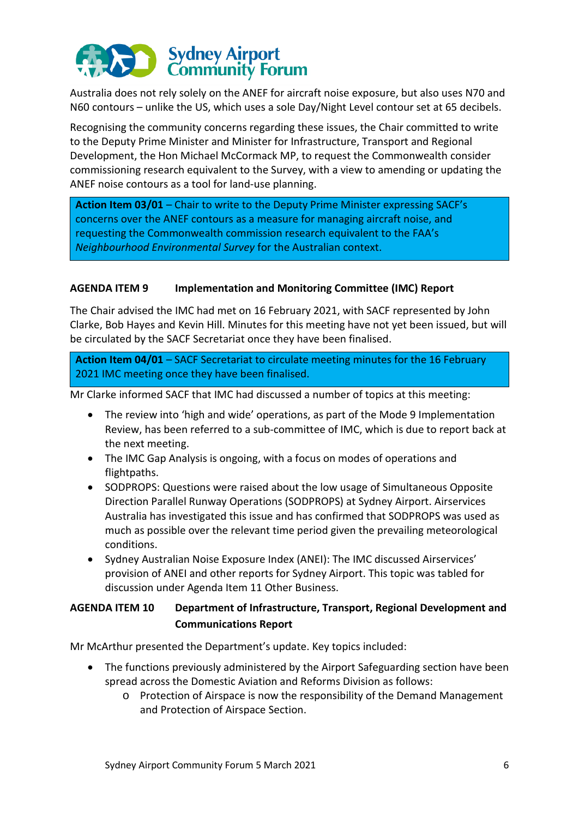

Australia does not rely solely on the ANEF for aircraft noise exposure, but also uses N70 and N60 contours – unlike the US, which uses a sole Day/Night Level contour set at 65 decibels.

Recognising the community concerns regarding these issues, the Chair committed to write to the Deputy Prime Minister and Minister for Infrastructure, Transport and Regional Development, the Hon Michael McCormack MP, to request the Commonwealth consider commissioning research equivalent to the Survey, with a view to amending or updating the ANEF noise contours as a tool for land-use planning.

**Action Item 03/01** – Chair to write to the Deputy Prime Minister expressing SACF's concerns over the ANEF contours as a measure for managing aircraft noise, and requesting the Commonwealth commission research equivalent to the FAA's *Neighbourhood Environmental Survey* for the Australian context.

## **AGENDA ITEM 9 Implementation and Monitoring Committee (IMC) Report**

The Chair advised the IMC had met on 16 February 2021, with SACF represented by John Clarke, Bob Hayes and Kevin Hill. Minutes for this meeting have not yet been issued, but will be circulated by the SACF Secretariat once they have been finalised.

**Action Item 04/01** – SACF Secretariat to circulate meeting minutes for the 16 February 2021 IMC meeting once they have been finalised.

Mr Clarke informed SACF that IMC had discussed a number of topics at this meeting:

- The review into 'high and wide' operations, as part of the Mode 9 Implementation Review, has been referred to a sub-committee of IMC, which is due to report back at the next meeting.
- The IMC Gap Analysis is ongoing, with a focus on modes of operations and flightpaths.
- SODPROPS: Questions were raised about the low usage of Simultaneous Opposite Direction Parallel Runway Operations (SODPROPS) at Sydney Airport. Airservices Australia has investigated this issue and has confirmed that SODPROPS was used as much as possible over the relevant time period given the prevailing meteorological conditions.
- Sydney Australian Noise Exposure Index (ANEI): The IMC discussed Airservices' provision of ANEI and other reports for Sydney Airport. This topic was tabled for discussion under Agenda Item 11 Other Business.

# **AGENDA ITEM 10 Department of Infrastructure, Transport, Regional Development and Communications Report**

Mr McArthur presented the Department's update. Key topics included:

- The functions previously administered by the Airport Safeguarding section have been spread across the Domestic Aviation and Reforms Division as follows:
	- o Protection of Airspace is now the responsibility of the Demand Management and Protection of Airspace Section.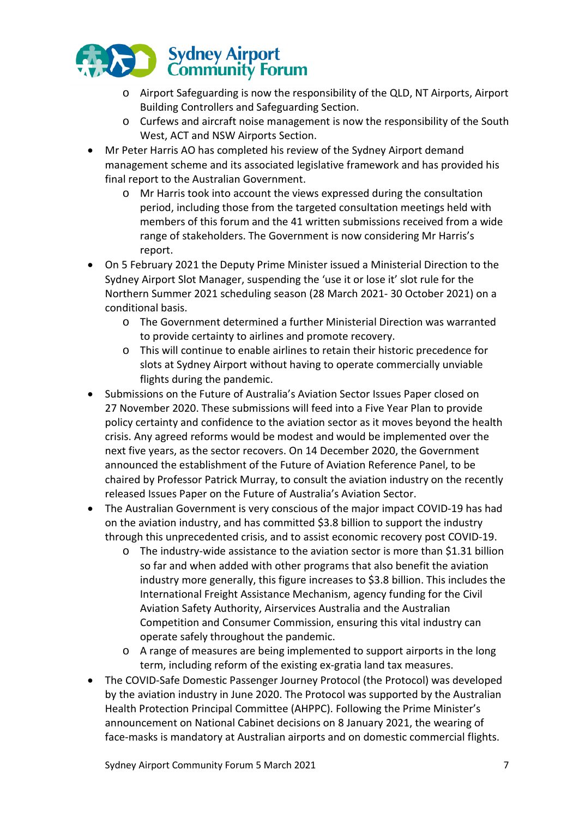

- o Airport Safeguarding is now the responsibility of the QLD, NT Airports, Airport Building Controllers and Safeguarding Section.
- o Curfews and aircraft noise management is now the responsibility of the South West, ACT and NSW Airports Section.
- Mr Peter Harris AO has completed his review of the Sydney Airport demand management scheme and its associated legislative framework and has provided his final report to the Australian Government.
	- o Mr Harris took into account the views expressed during the consultation period, including those from the targeted consultation meetings held with members of this forum and the 41 written submissions received from a wide range of stakeholders. The Government is now considering Mr Harris's report.
- On 5 February 2021 the Deputy Prime Minister issued a Ministerial Direction to the Sydney Airport Slot Manager, suspending the 'use it or lose it' slot rule for the Northern Summer 2021 scheduling season (28 March 2021- 30 October 2021) on a conditional basis.
	- o The Government determined a further Ministerial Direction was warranted to provide certainty to airlines and promote recovery.
	- o This will continue to enable airlines to retain their historic precedence for slots at Sydney Airport without having to operate commercially unviable flights during the pandemic.
- Submissions on the Future of Australia's Aviation Sector Issues Paper closed on 27 November 2020. These submissions will feed into a Five Year Plan to provide policy certainty and confidence to the aviation sector as it moves beyond the health crisis. Any agreed reforms would be modest and would be implemented over the next five years, as the sector recovers. On 14 December 2020, the Government announced the establishment of the Future of Aviation Reference Panel, to be chaired by Professor Patrick Murray, to consult the aviation industry on the recently released Issues Paper on the Future of Australia's Aviation Sector.
- The Australian Government is very conscious of the major impact COVID-19 has had on the aviation industry, and has committed \$3.8 billion to support the industry through this unprecedented crisis, and to assist economic recovery post COVID-19.
	- o The industry-wide assistance to the aviation sector is more than \$1.31 billion so far and when added with other programs that also benefit the aviation industry more generally, this figure increases to \$3.8 billion. This includes the International Freight Assistance Mechanism, agency funding for the Civil Aviation Safety Authority, Airservices Australia and the Australian Competition and Consumer Commission, ensuring this vital industry can operate safely throughout the pandemic.
	- o A range of measures are being implemented to support airports in the long term, including reform of the existing ex-gratia land tax measures.
- The COVID-Safe Domestic Passenger Journey Protocol (the Protocol) was developed by the aviation industry in June 2020. The Protocol was supported by the Australian Health Protection Principal Committee (AHPPC). Following the Prime Minister's announcement on National Cabinet decisions on 8 January 2021, the wearing of face-masks is mandatory at Australian airports and on domestic commercial flights.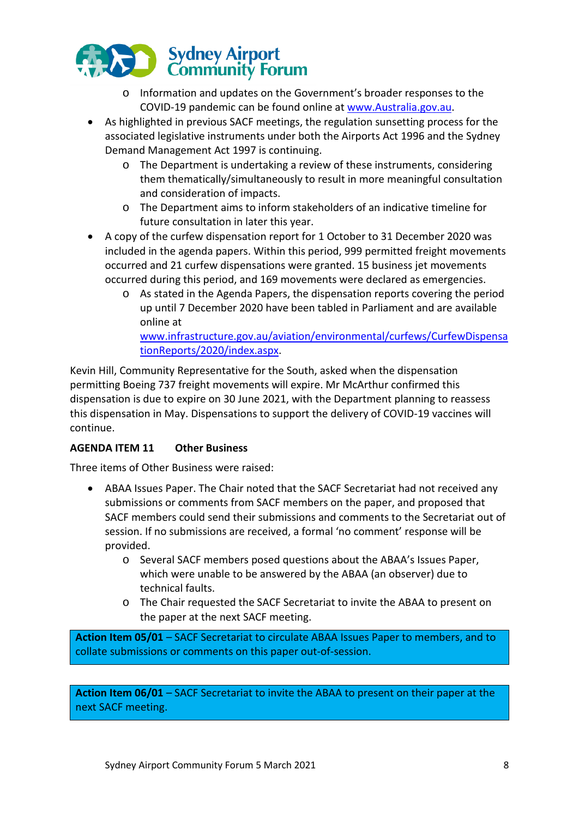

- o Information and updates on the Government's broader responses to the COVID-19 pandemic can be found online at [www.Australia.gov.au.](http://www.australia.gov.au/)
- As highlighted in previous SACF meetings, the regulation sunsetting process for the associated legislative instruments under both the Airports Act 1996 and the Sydney Demand Management Act 1997 is continuing.
	- o The Department is undertaking a review of these instruments, considering them thematically/simultaneously to result in more meaningful consultation and consideration of impacts.
	- o The Department aims to inform stakeholders of an indicative timeline for future consultation in later this year.
- A copy of the curfew dispensation report for 1 October to 31 December 2020 was included in the agenda papers. Within this period, 999 permitted freight movements occurred and 21 curfew dispensations were granted. 15 business jet movements occurred during this period, and 169 movements were declared as emergencies.
	- o As stated in the Agenda Papers, the dispensation reports covering the period up until 7 December 2020 have been tabled in Parliament and are available online at

[www.infrastructure.gov.au/aviation/environmental/curfews/CurfewDispensa](https://www.infrastructure.gov.au/aviation/environmental/curfews/CurfewDispensationReports/2020/index.aspx) [tionReports/2020/index.aspx.](https://www.infrastructure.gov.au/aviation/environmental/curfews/CurfewDispensationReports/2020/index.aspx)

Kevin Hill, Community Representative for the South, asked when the dispensation permitting Boeing 737 freight movements will expire. Mr McArthur confirmed this dispensation is due to expire on 30 June 2021, with the Department planning to reassess this dispensation in May. Dispensations to support the delivery of COVID-19 vaccines will continue.

# **AGENDA ITEM 11 Other Business**

Three items of Other Business were raised:

- ABAA Issues Paper. The Chair noted that the SACF Secretariat had not received any submissions or comments from SACF members on the paper, and proposed that SACF members could send their submissions and comments to the Secretariat out of session. If no submissions are received, a formal 'no comment' response will be provided.
	- o Several SACF members posed questions about the ABAA's Issues Paper, which were unable to be answered by the ABAA (an observer) due to technical faults.
	- o The Chair requested the SACF Secretariat to invite the ABAA to present on the paper at the next SACF meeting.

**Action Item 05/01** – SACF Secretariat to circulate ABAA Issues Paper to members, and to collate submissions or comments on this paper out-of-session.

**Action Item 06/01** – SACF Secretariat to invite the ABAA to present on their paper at the next SACF meeting.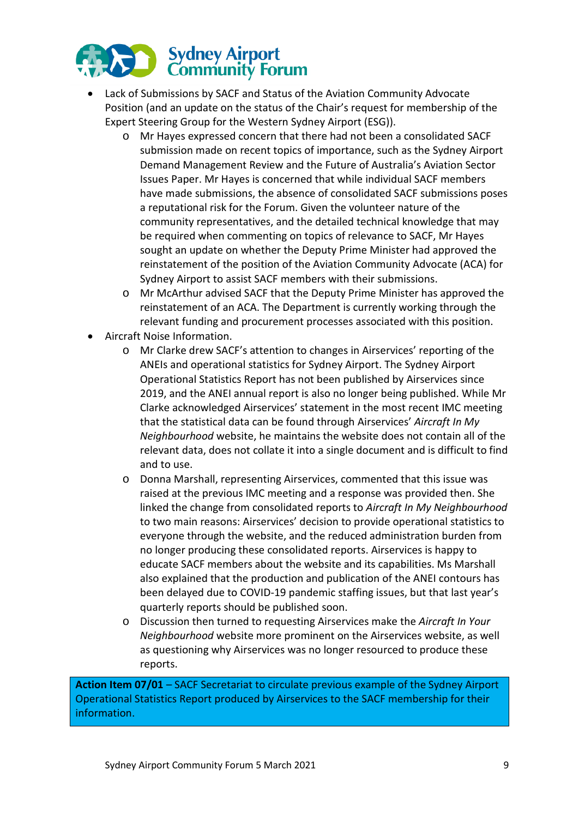

- Lack of Submissions by SACF and Status of the Aviation Community Advocate Position (and an update on the status of the Chair's request for membership of the Expert Steering Group for the Western Sydney Airport (ESG)).
	- o Mr Hayes expressed concern that there had not been a consolidated SACF submission made on recent topics of importance, such as the Sydney Airport Demand Management Review and the Future of Australia's Aviation Sector Issues Paper. Mr Hayes is concerned that while individual SACF members have made submissions, the absence of consolidated SACF submissions poses a reputational risk for the Forum. Given the volunteer nature of the community representatives, and the detailed technical knowledge that may be required when commenting on topics of relevance to SACF, Mr Hayes sought an update on whether the Deputy Prime Minister had approved the reinstatement of the position of the Aviation Community Advocate (ACA) for Sydney Airport to assist SACF members with their submissions.
	- o Mr McArthur advised SACF that the Deputy Prime Minister has approved the reinstatement of an ACA. The Department is currently working through the relevant funding and procurement processes associated with this position.
- Aircraft Noise Information.
	- o Mr Clarke drew SACF's attention to changes in Airservices' reporting of the ANEIs and operational statistics for Sydney Airport. The Sydney Airport Operational Statistics Report has not been published by Airservices since 2019, and the ANEI annual report is also no longer being published. While Mr Clarke acknowledged Airservices' statement in the most recent IMC meeting that the statistical data can be found through Airservices' *Aircraft In My Neighbourhood* website, he maintains the website does not contain all of the relevant data, does not collate it into a single document and is difficult to find and to use.
	- o Donna Marshall, representing Airservices, commented that this issue was raised at the previous IMC meeting and a response was provided then. She linked the change from consolidated reports to *Aircraft In My Neighbourhood* to two main reasons: Airservices' decision to provide operational statistics to everyone through the website, and the reduced administration burden from no longer producing these consolidated reports. Airservices is happy to educate SACF members about the website and its capabilities. Ms Marshall also explained that the production and publication of the ANEI contours has been delayed due to COVID-19 pandemic staffing issues, but that last year's quarterly reports should be published soon.
	- o Discussion then turned to requesting Airservices make the *Aircraft In Your Neighbourhood* website more prominent on the Airservices website, as well as questioning why Airservices was no longer resourced to produce these reports.

**Action Item 07/01** – SACF Secretariat to circulate previous example of the Sydney Airport Operational Statistics Report produced by Airservices to the SACF membership for their information.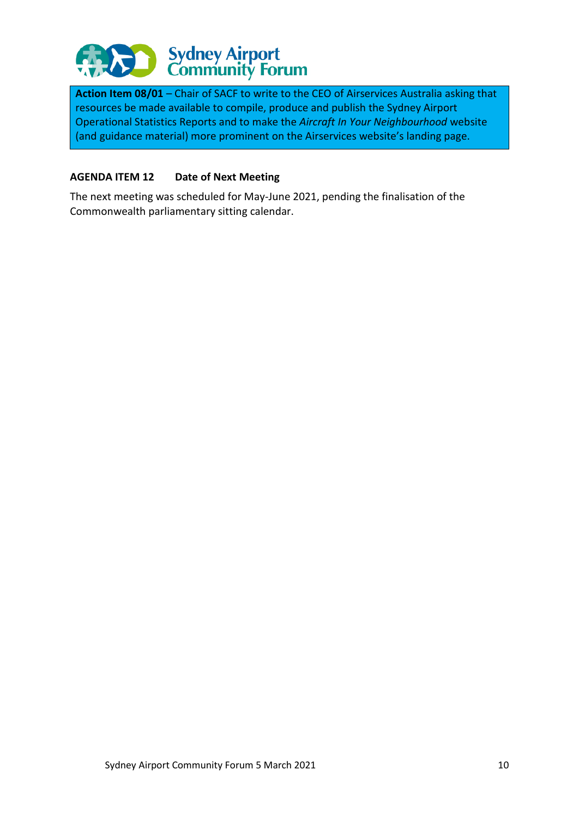

**Action Item 08/01** – Chair of SACF to write to the CEO of Airservices Australia asking that resources be made available to compile, produce and publish the Sydney Airport Operational Statistics Reports and to make the *Aircraft In Your Neighbourhood* website (and guidance material) more prominent on the Airservices website's landing page.

## **AGENDA ITEM 12 Date of Next Meeting**

The next meeting was scheduled for May-June 2021, pending the finalisation of the Commonwealth parliamentary sitting calendar.